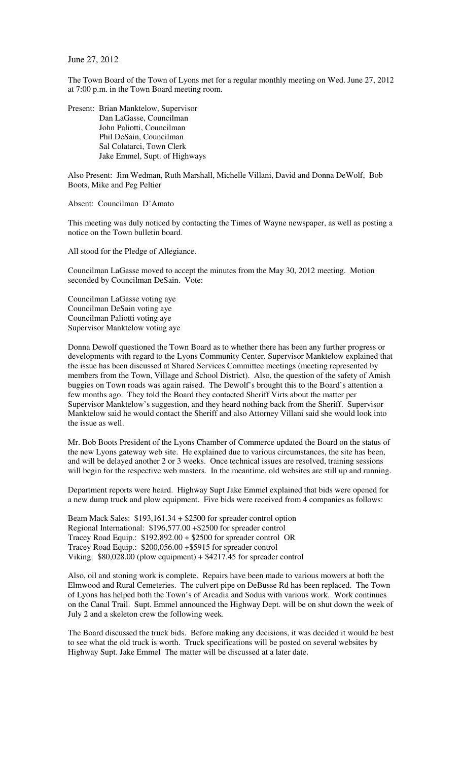June 27, 2012

The Town Board of the Town of Lyons met for a regular monthly meeting on Wed. June 27, 2012 at 7:00 p.m. in the Town Board meeting room.

Present: Brian Manktelow, Supervisor Dan LaGasse, Councilman John Paliotti, Councilman Phil DeSain, Councilman Sal Colatarci, Town Clerk Jake Emmel, Supt. of Highways

Also Present: Jim Wedman, Ruth Marshall, Michelle Villani, David and Donna DeWolf, Bob Boots, Mike and Peg Peltier

Absent: Councilman D'Amato

This meeting was duly noticed by contacting the Times of Wayne newspaper, as well as posting a notice on the Town bulletin board.

All stood for the Pledge of Allegiance.

Councilman LaGasse moved to accept the minutes from the May 30, 2012 meeting. Motion seconded by Councilman DeSain. Vote:

Councilman LaGasse voting aye Councilman DeSain voting aye Councilman Paliotti voting aye Supervisor Manktelow voting aye

Donna Dewolf questioned the Town Board as to whether there has been any further progress or developments with regard to the Lyons Community Center. Supervisor Manktelow explained that the issue has been discussed at Shared Services Committee meetings (meeting represented by members from the Town, Village and School District). Also, the question of the safety of Amish buggies on Town roads was again raised. The Dewolf's brought this to the Board's attention a few months ago. They told the Board they contacted Sheriff Virts about the matter per Supervisor Manktelow's suggestion, and they heard nothing back from the Sheriff. Supervisor Manktelow said he would contact the Sheriff and also Attorney Villani said she would look into the issue as well.

Mr. Bob Boots President of the Lyons Chamber of Commerce updated the Board on the status of the new Lyons gateway web site. He explained due to various circumstances, the site has been, and will be delayed another 2 or 3 weeks. Once technical issues are resolved, training sessions will begin for the respective web masters. In the meantime, old websites are still up and running.

Department reports were heard. Highway Supt Jake Emmel explained that bids were opened for a new dump truck and plow equipment. Five bids were received from 4 companies as follows:

Beam Mack Sales: \$193,161.34 + \$2500 for spreader control option Regional International: \$196,577.00 +\$2500 for spreader control Tracey Road Equip.: \$192,892.00 + \$2500 for spreader control OR Tracey Road Equip.: \$200,056.00 +\$5915 for spreader control Viking: \$80,028.00 (plow equipment) + \$4217.45 for spreader control

Also, oil and stoning work is complete. Repairs have been made to various mowers at both the Elmwood and Rural Cemeteries. The culvert pipe on DeBusse Rd has been replaced. The Town of Lyons has helped both the Town's of Arcadia and Sodus with various work. Work continues on the Canal Trail. Supt. Emmel announced the Highway Dept. will be on shut down the week of July 2 and a skeleton crew the following week.

The Board discussed the truck bids. Before making any decisions, it was decided it would be best to see what the old truck is worth. Truck specifications will be posted on several websites by Highway Supt. Jake Emmel The matter will be discussed at a later date.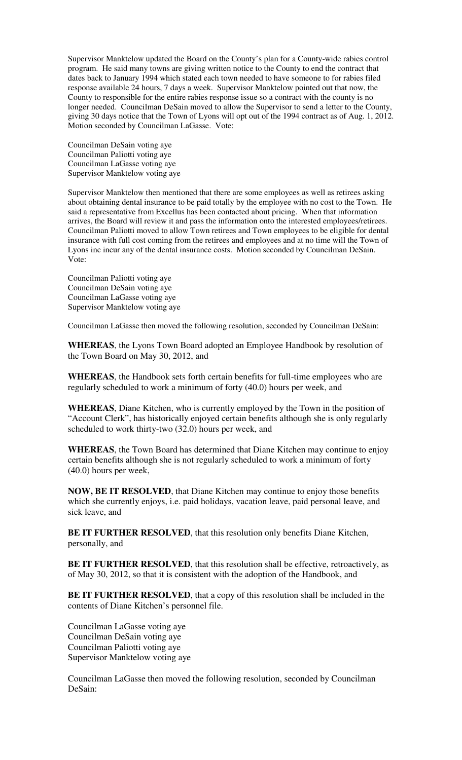Supervisor Manktelow updated the Board on the County's plan for a County-wide rabies control program. He said many towns are giving written notice to the County to end the contract that dates back to January 1994 which stated each town needed to have someone to for rabies filed response available 24 hours, 7 days a week. Supervisor Manktelow pointed out that now, the County to responsible for the entire rabies response issue so a contract with the county is no longer needed. Councilman DeSain moved to allow the Supervisor to send a letter to the County, giving 30 days notice that the Town of Lyons will opt out of the 1994 contract as of Aug. 1, 2012. Motion seconded by Councilman LaGasse. Vote:

Councilman DeSain voting aye Councilman Paliotti voting aye Councilman LaGasse voting aye Supervisor Manktelow voting aye

Supervisor Manktelow then mentioned that there are some employees as well as retirees asking about obtaining dental insurance to be paid totally by the employee with no cost to the Town. He said a representative from Excellus has been contacted about pricing. When that information arrives, the Board will review it and pass the information onto the interested employees/retirees. Councilman Paliotti moved to allow Town retirees and Town employees to be eligible for dental insurance with full cost coming from the retirees and employees and at no time will the Town of Lyons inc incur any of the dental insurance costs. Motion seconded by Councilman DeSain. Vote:

Councilman Paliotti voting aye Councilman DeSain voting aye Councilman LaGasse voting aye Supervisor Manktelow voting aye

Councilman LaGasse then moved the following resolution, seconded by Councilman DeSain:

**WHEREAS**, the Lyons Town Board adopted an Employee Handbook by resolution of the Town Board on May 30, 2012, and

**WHEREAS**, the Handbook sets forth certain benefits for full-time employees who are regularly scheduled to work a minimum of forty (40.0) hours per week, and

**WHEREAS**, Diane Kitchen, who is currently employed by the Town in the position of "Account Clerk", has historically enjoyed certain benefits although she is only regularly scheduled to work thirty-two (32.0) hours per week, and

**WHEREAS**, the Town Board has determined that Diane Kitchen may continue to enjoy certain benefits although she is not regularly scheduled to work a minimum of forty (40.0) hours per week,

**NOW, BE IT RESOLVED**, that Diane Kitchen may continue to enjoy those benefits which she currently enjoys, i.e. paid holidays, vacation leave, paid personal leave, and sick leave, and

**BE IT FURTHER RESOLVED**, that this resolution only benefits Diane Kitchen, personally, and

**BE IT FURTHER RESOLVED**, that this resolution shall be effective, retroactively, as of May 30, 2012, so that it is consistent with the adoption of the Handbook, and

**BE IT FURTHER RESOLVED**, that a copy of this resolution shall be included in the contents of Diane Kitchen's personnel file.

Councilman LaGasse voting aye Councilman DeSain voting aye Councilman Paliotti voting aye Supervisor Manktelow voting aye

Councilman LaGasse then moved the following resolution, seconded by Councilman DeSain: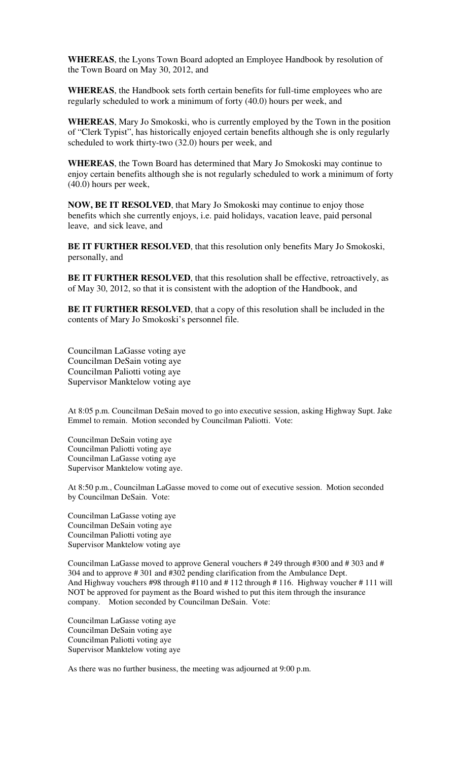**WHEREAS**, the Lyons Town Board adopted an Employee Handbook by resolution of the Town Board on May 30, 2012, and

**WHEREAS**, the Handbook sets forth certain benefits for full-time employees who are regularly scheduled to work a minimum of forty (40.0) hours per week, and

**WHEREAS**, Mary Jo Smokoski, who is currently employed by the Town in the position of "Clerk Typist", has historically enjoyed certain benefits although she is only regularly scheduled to work thirty-two (32.0) hours per week, and

**WHEREAS**, the Town Board has determined that Mary Jo Smokoski may continue to enjoy certain benefits although she is not regularly scheduled to work a minimum of forty (40.0) hours per week,

**NOW, BE IT RESOLVED**, that Mary Jo Smokoski may continue to enjoy those benefits which she currently enjoys, i.e. paid holidays, vacation leave, paid personal leave, and sick leave, and

**BE IT FURTHER RESOLVED**, that this resolution only benefits Mary Jo Smokoski, personally, and

**BE IT FURTHER RESOLVED**, that this resolution shall be effective, retroactively, as of May 30, 2012, so that it is consistent with the adoption of the Handbook, and

**BE IT FURTHER RESOLVED**, that a copy of this resolution shall be included in the contents of Mary Jo Smokoski's personnel file.

Councilman LaGasse voting aye Councilman DeSain voting aye Councilman Paliotti voting aye Supervisor Manktelow voting aye

At 8:05 p.m. Councilman DeSain moved to go into executive session, asking Highway Supt. Jake Emmel to remain. Motion seconded by Councilman Paliotti. Vote:

Councilman DeSain voting aye Councilman Paliotti voting aye Councilman LaGasse voting aye Supervisor Manktelow voting aye.

At 8:50 p.m., Councilman LaGasse moved to come out of executive session. Motion seconded by Councilman DeSain. Vote:

Councilman LaGasse voting aye Councilman DeSain voting aye Councilman Paliotti voting aye Supervisor Manktelow voting aye

Councilman LaGasse moved to approve General vouchers # 249 through #300 and # 303 and # 304 and to approve # 301 and #302 pending clarification from the Ambulance Dept. And Highway vouchers #98 through #110 and # 112 through # 116. Highway voucher # 111 will NOT be approved for payment as the Board wished to put this item through the insurance company. Motion seconded by Councilman DeSain. Vote:

Councilman LaGasse voting aye Councilman DeSain voting aye Councilman Paliotti voting aye Supervisor Manktelow voting aye

As there was no further business, the meeting was adjourned at 9:00 p.m.